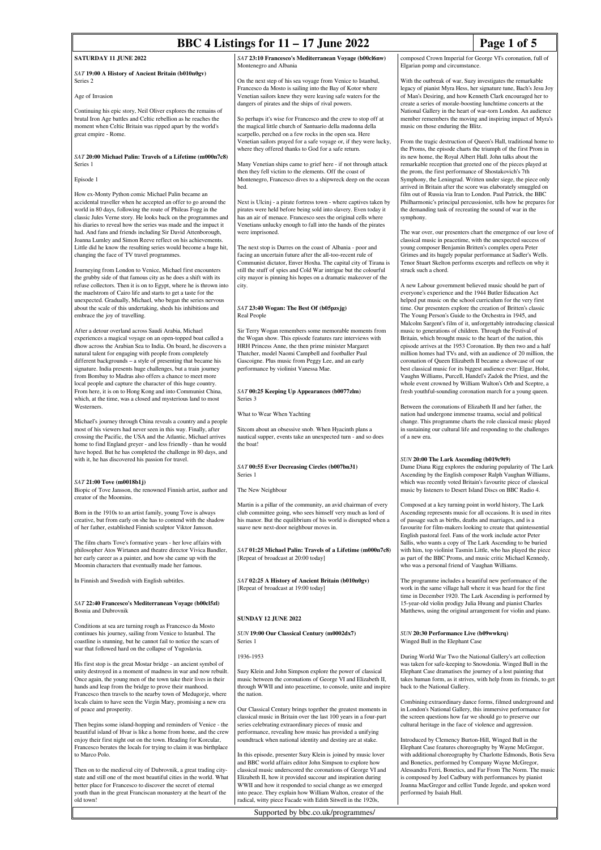| BBC 4 Listings for $11 - 17$ June 2022                                                                                                                                                                                                                                                                                                                                                                                                                                                                                                                                        |                                                                                                                                                                                                                                                                                                                                                                                     |                                                                                                                                                                                                                                                                                                                          | Page 1 of 5                                                                                                                                                                                                                                                                                                                                                                                        |
|-------------------------------------------------------------------------------------------------------------------------------------------------------------------------------------------------------------------------------------------------------------------------------------------------------------------------------------------------------------------------------------------------------------------------------------------------------------------------------------------------------------------------------------------------------------------------------|-------------------------------------------------------------------------------------------------------------------------------------------------------------------------------------------------------------------------------------------------------------------------------------------------------------------------------------------------------------------------------------|--------------------------------------------------------------------------------------------------------------------------------------------------------------------------------------------------------------------------------------------------------------------------------------------------------------------------|----------------------------------------------------------------------------------------------------------------------------------------------------------------------------------------------------------------------------------------------------------------------------------------------------------------------------------------------------------------------------------------------------|
| SATURDAY 11 JUNE 2022                                                                                                                                                                                                                                                                                                                                                                                                                                                                                                                                                         | SAT 23:10 Francesco's Mediterranean Voyage (b00cl6nw)<br>Montenegro and Albania                                                                                                                                                                                                                                                                                                     | Elgarian pomp and circumstance.                                                                                                                                                                                                                                                                                          | composed Crown Imperial for George VI's coronation, full of                                                                                                                                                                                                                                                                                                                                        |
| SAT 19:00 A History of Ancient Britain (b010n0gv)<br>Series <sub>2</sub>                                                                                                                                                                                                                                                                                                                                                                                                                                                                                                      | On the next step of his sea voyage from Venice to Istanbul,<br>Francesco da Mosto is sailing into the Bay of Kotor where                                                                                                                                                                                                                                                            | With the outbreak of war, Suzy investigates the remarkable<br>legacy of pianist Myra Hess, her signature tune, Bach's Jesu Joy                                                                                                                                                                                           |                                                                                                                                                                                                                                                                                                                                                                                                    |
| Age of Invasion                                                                                                                                                                                                                                                                                                                                                                                                                                                                                                                                                               | Venetian sailors knew they were leaving safe waters for the<br>dangers of pirates and the ships of rival powers.                                                                                                                                                                                                                                                                    | create a series of morale-boosting lunchtime concerts at the                                                                                                                                                                                                                                                             | of Man's Desiring, and how Kenneth Clark encouraged her to                                                                                                                                                                                                                                                                                                                                         |
| Continuing his epic story, Neil Oliver explores the remains of<br>brutal Iron Age battles and Celtic rebellion as he reaches the<br>moment when Celtic Britain was ripped apart by the world's<br>great empire - Rome.                                                                                                                                                                                                                                                                                                                                                        | So perhaps it's wise for Francesco and the crew to stop off at<br>the magical little church of Santuario della madonna della<br>scarpello, perched on a few rocks in the open sea. Here<br>Venetian sailors prayed for a safe voyage or, if they were lucky,                                                                                                                        | National Gallery in the heart of war-torn London. An audience<br>member remembers the moving and inspiring impact of Myra's<br>music on those enduring the Blitz.<br>From the tragic destruction of Queen's Hall, traditional home to                                                                                    |                                                                                                                                                                                                                                                                                                                                                                                                    |
| SAT 20:00 Michael Palin: Travels of a Lifetime (m000n7c8)<br>Series 1                                                                                                                                                                                                                                                                                                                                                                                                                                                                                                         | where they offered thanks to God for a safe return.<br>Many Venetian ships came to grief here - if not through attack                                                                                                                                                                                                                                                               | its new home, the Royal Albert Hall. John talks about the<br>remarkable reception that greeted one of the pieces played at                                                                                                                                                                                               | the Proms, the episode charts the triumph of the first Prom in                                                                                                                                                                                                                                                                                                                                     |
| Episode 1                                                                                                                                                                                                                                                                                                                                                                                                                                                                                                                                                                     | then they fell victim to the elements. Off the coast of<br>Montenegro, Francesco dives to a shipwreck deep on the ocean                                                                                                                                                                                                                                                             | the prom, the first performance of Shostakovich's 7th                                                                                                                                                                                                                                                                    | Symphony, the Leningrad. Written under siege, the piece only                                                                                                                                                                                                                                                                                                                                       |
| How ex-Monty Python comic Michael Palin became an<br>accidental traveller when he accepted an offer to go around the<br>world in 80 days, following the route of Phileas Fogg in the<br>classic Jules Verne story. He looks back on the programmes and<br>his diaries to reveal how the series was made and the impact it                                                                                                                                                                                                                                                     | bed.<br>Next is Ulcinj - a pirate fortress town - where captives taken by<br>pirates were held before being sold into slavery. Even today it<br>has an air of menace. Francesco sees the original cells where<br>Venetians unlucky enough to fall into the hands of the pirates                                                                                                     | film out of Russia via Iran to London. Paul Patrick, the BBC<br>the demanding task of recreating the sound of war in the<br>symphony.                                                                                                                                                                                    | arrived in Britain after the score was elaborately smuggled on<br>Philharmonic's principal percussionist, tells how he prepares for                                                                                                                                                                                                                                                                |
| had. And fans and friends including Sir David Attenborough,<br>Joanna Lumley and Simon Reeve reflect on his achievements.<br>Little did he know the resulting series would become a huge hit,<br>changing the face of TV travel programmes.                                                                                                                                                                                                                                                                                                                                   | were imprisoned.<br>The next stop is Durres on the coast of Albania - poor and<br>facing an uncertain future after the all-too-recent rule of                                                                                                                                                                                                                                       | classical music in peacetime, with the unexpected success of<br>young composer Benjamin Britten's complex opera Peter<br>Grimes and its hugely popular performance at Sadler's Wells.                                                                                                                                    | The war over, our presenters chart the emergence of our love of                                                                                                                                                                                                                                                                                                                                    |
| Journeying from London to Venice, Michael first encounters<br>the grubby side of that famous city as he does a shift with its<br>refuse collectors. Then it is on to Egypt, where he is thrown into                                                                                                                                                                                                                                                                                                                                                                           | Communist dictator, Enver Hoxha. The capital city of Tirana is<br>still the stuff of spies and Cold War intrigue but the colourful<br>city mayor is pinning his hopes on a dramatic makeover of the<br>city.                                                                                                                                                                        | struck such a chord.<br>A new Labour government believed music should be part of                                                                                                                                                                                                                                         | Tenor Stuart Skelton performs excerpts and reflects on why it                                                                                                                                                                                                                                                                                                                                      |
| the maelstrom of Cairo life and starts to get a taste for the<br>unexpected. Gradually, Michael, who began the series nervous<br>about the scale of this undertaking, sheds his inhibitions and<br>embrace the joy of travelling.                                                                                                                                                                                                                                                                                                                                             | SAT 23:40 Wogan: The Best Of (b05pzsjg)<br>Real People                                                                                                                                                                                                                                                                                                                              | everyone's experience and the 1944 Butler Education Act<br>helped put music on the school curriculum for the very first<br>time. Our presenters explore the creation of Britten's classic<br>The Young Person's Guide to the Orchestra in 1945, and<br>Malcolm Sargent's film of it, unforgettably introducing classical |                                                                                                                                                                                                                                                                                                                                                                                                    |
| After a detour overland across Saudi Arabia, Michael<br>experiences a magical voyage on an open-topped boat called a<br>dhow across the Arabian Sea to India. On board, he discovers a<br>natural talent for engaging with people from completely<br>different backgrounds – a style of presenting that became his<br>signature. India presents huge challenges, but a train journey<br>from Bombay to Madras also offers a chance to meet more<br>local people and capture the character of this huge country.<br>From here, it is on to Hong Kong and into Communist China, | Sir Terry Wogan remembers some memorable moments from<br>the Wogan show. This episode features rare interviews with<br>HRH Princess Anne, the then prime minister Margaret<br>Thatcher, model Naomi Campbell and footballer Paul<br>Gascoigne. Plus music from Peggy Lee, and an early<br>performance by violinist Vanessa Mae.<br>SAT 00:25 Keeping Up Appearances (b0077zlm)      | music to generations of children. Through the Festival of<br>Britain, which brought music to the heart of the nation, this<br>coronation of Queen Elizabeth II became a showcase of our                                                                                                                                  | episode arrives at the 1953 Coronation. By then two and a half<br>million homes had TVs and, with an audience of 20 million, the<br>best classical music for its biggest audience ever: Elgar, Holst,<br>Vaughn Williams, Purcell, Handel's Zadok the Priest, and the<br>whole event crowned by William Walton's Orb and Sceptre, a<br>fresh youthful-sounding coronation march for a young queen. |
| which, at the time, was a closed and mysterious land to most<br>Westerners.                                                                                                                                                                                                                                                                                                                                                                                                                                                                                                   | Series 3<br>What to Wear When Yachting                                                                                                                                                                                                                                                                                                                                              | Between the coronations of Elizabeth II and her father, the<br>nation had undergone immense trauma, social and political                                                                                                                                                                                                 |                                                                                                                                                                                                                                                                                                                                                                                                    |
| Michael's journey through China reveals a country and a people<br>most of his viewers had never seen in this way. Finally, after<br>crossing the Pacific, the USA and the Atlantic, Michael arrives<br>home to find England greyer - and less friendly - than he would<br>have hoped. But he has completed the challenge in 80 days, and                                                                                                                                                                                                                                      | Sitcom about an obsessive snob. When Hyacinth plans a<br>nautical supper, events take an unexpected turn - and so does<br>the boat!                                                                                                                                                                                                                                                 | of a new era.                                                                                                                                                                                                                                                                                                            | change. This programme charts the role classical music played<br>in sustaining our cultural life and responding to the challenges                                                                                                                                                                                                                                                                  |
| with it, he has discovered his passion for travel.<br>$SAT 21:00$ Tove (m0018b1j)                                                                                                                                                                                                                                                                                                                                                                                                                                                                                             | SAT 00:55 Ever Decreasing Circles (b007bn31)<br>Series 1                                                                                                                                                                                                                                                                                                                            | SUN 20:00 The Lark Ascending (b019c9t9)                                                                                                                                                                                                                                                                                  | Dame Diana Rigg explores the enduring popularity of The Lark<br>Ascending by the English composer Ralph Vaughan Williams,<br>which was recently voted Britain's favourite piece of classical                                                                                                                                                                                                       |
| Biopic of Tove Jansson, the renowned Finnish artist, author and<br>creator of the Moomins.                                                                                                                                                                                                                                                                                                                                                                                                                                                                                    | The New Neighbour                                                                                                                                                                                                                                                                                                                                                                   | music by listeners to Desert Island Discs on BBC Radio 4.                                                                                                                                                                                                                                                                |                                                                                                                                                                                                                                                                                                                                                                                                    |
| Born in the 1910s to an artist family, young Tove is always<br>creative, but from early on she has to contend with the shadow<br>of her father, established Finnish sculptor Viktor Jansson.                                                                                                                                                                                                                                                                                                                                                                                  | Martin is a pillar of the community, an avid chairman of every<br>club committee going, who sees himself very much as lord of<br>his manor. But the equilibrium of his world is disrupted when a<br>suave new next-door neighbour moves in.                                                                                                                                         | Composed at a key turning point in world history, The Lark<br>of passage such as births, deaths and marriages, and is a<br>English pastoral feel. Fans of the work include actor Peter                                                                                                                                   | Ascending represents music for all occasions. It is used in rites<br>favourite for film-makers looking to create that quintessential                                                                                                                                                                                                                                                               |
| The film charts Tove's formative years - her love affairs with<br>philosopher Atos Wirtanen and theatre director Vivica Bandler,<br>her early career as a painter, and how she came up with the<br>Moomin characters that eventually made her famous.                                                                                                                                                                                                                                                                                                                         | SAT 01:25 Michael Palin: Travels of a Lifetime (m000n7c8)<br>[Repeat of broadcast at 20:00 today]                                                                                                                                                                                                                                                                                   | Sallis, who wants a copy of The Lark Ascending to be buried<br>who was a personal friend of Vaughan Williams.                                                                                                                                                                                                            | with him, top violinist Tasmin Little, who has played the piece<br>as part of the BBC Proms, and music critic Michael Kennedy,                                                                                                                                                                                                                                                                     |
| In Finnish and Swedish with English subtitles.                                                                                                                                                                                                                                                                                                                                                                                                                                                                                                                                | SAT 02:25 A History of Ancient Britain (b010n0gv)<br>[Repeat of broadcast at 19:00 today]                                                                                                                                                                                                                                                                                           | The programme includes a beautiful new performance of the<br>work in the same village hall where it was heard for the first                                                                                                                                                                                              | time in December 1920. The Lark Ascending is performed by                                                                                                                                                                                                                                                                                                                                          |
| SAT 22:40 Francesco's Mediterranean Voyage (b00cl5zl)<br>Bosnia and Dubrovnik                                                                                                                                                                                                                                                                                                                                                                                                                                                                                                 |                                                                                                                                                                                                                                                                                                                                                                                     | 15-year-old violin prodigy Julia Hwang and pianist Charles                                                                                                                                                                                                                                                               | Matthews, using the original arrangement for violin and piano.                                                                                                                                                                                                                                                                                                                                     |
| Conditions at sea are turning rough as Francesco da Mosto<br>continues his journey, sailing from Venice to Istanbul. The<br>coastline is stunning, but he cannot fail to notice the scars of                                                                                                                                                                                                                                                                                                                                                                                  | <b>SUNDAY 12 JUNE 2022</b><br>SUN 19:00 Our Classical Century (m0002dx7)<br>Series 1                                                                                                                                                                                                                                                                                                | SUN 20:30 Performance Live (b09wwkrq)<br>Winged Bull in the Elephant Case                                                                                                                                                                                                                                                |                                                                                                                                                                                                                                                                                                                                                                                                    |
| war that followed hard on the collapse of Yugoslavia.                                                                                                                                                                                                                                                                                                                                                                                                                                                                                                                         | 1936-1953                                                                                                                                                                                                                                                                                                                                                                           | During World War Two the National Gallery's art collection                                                                                                                                                                                                                                                               |                                                                                                                                                                                                                                                                                                                                                                                                    |
| His first stop is the great Mostar bridge - an ancient symbol of<br>unity destroyed in a moment of madness in war and now rebuilt.<br>Once again, the young men of the town take their lives in their<br>hands and leap from the bridge to prove their manhood.<br>Francesco then travels to the nearby town of Medugorje, where                                                                                                                                                                                                                                              | Suzy Klein and John Simpson explore the power of classical<br>music between the coronations of George VI and Elizabeth II,<br>through WWII and into peacetime, to console, unite and inspire<br>the nation.                                                                                                                                                                         | Elephant Case dramatises the journey of a lost painting that<br>back to the National Gallery.                                                                                                                                                                                                                            | was taken for safe-keeping to Snowdonia. Winged Bull in the<br>takes human form, as it strives, with help from its friends, to get                                                                                                                                                                                                                                                                 |
| locals claim to have seen the Virgin Mary, promising a new era<br>of peace and prosperity.                                                                                                                                                                                                                                                                                                                                                                                                                                                                                    | Our Classical Century brings together the greatest moments in<br>classical music in Britain over the last 100 years in a four-part<br>series celebrating extraordinary pieces of music and                                                                                                                                                                                          | the screen questions how far we should go to preserve our                                                                                                                                                                                                                                                                | Combining extraordinary dance forms, filmed underground and<br>in London's National Gallery, this immersive performance for                                                                                                                                                                                                                                                                        |
| Then begins some island-hopping and reminders of Venice - the<br>beautiful island of Hvar is like a home from home, and the crew<br>enjoy their first night out on the town. Heading for Korcular,<br>Francesco berates the locals for trying to claim it was birthplace<br>to Marco Polo.                                                                                                                                                                                                                                                                                    | performance, revealing how music has provided a unifying<br>soundtrack when national identity and destiny are at stake.<br>In this episode, presenter Suzy Klein is joined by music lover                                                                                                                                                                                           | cultural heritage in the face of violence and aggression.<br>Introduced by Clemency Burton-Hill, Winged Bull in the<br>Elephant Case features choreography by Wayne McGregor,                                                                                                                                            | with additional choreography by Charlotte Edmonds, Botis Seva                                                                                                                                                                                                                                                                                                                                      |
| Then on to the medieval city of Dubrovnik, a great trading city-<br>state and still one of the most beautiful cities in the world. What<br>better place for Francesco to discover the secret of eternal<br>youth than in the great Franciscan monastery at the heart of the<br>old town!                                                                                                                                                                                                                                                                                      | and BBC world affairs editor John Simpson to explore how<br>classical music underscored the coronations of George VI and<br>Elizabeth II, how it provided succour and inspiration during<br>WWII and how it responded to social change as we emerged<br>into peace. They explain how William Walton, creator of the<br>radical, witty piece Facade with Edith Sitwell in the 1920s, | and Bonetics, performed by Company Wayne McGregor,<br>is composed by Joel Cadbury with performances by pianist<br>performed by Isaiah Hull.                                                                                                                                                                              | Alessandra Ferri, Bonetics, and Far From The Norm. The music<br>Joanna MacGregor and cellist Tunde Jegede, and spoken word                                                                                                                                                                                                                                                                         |

٦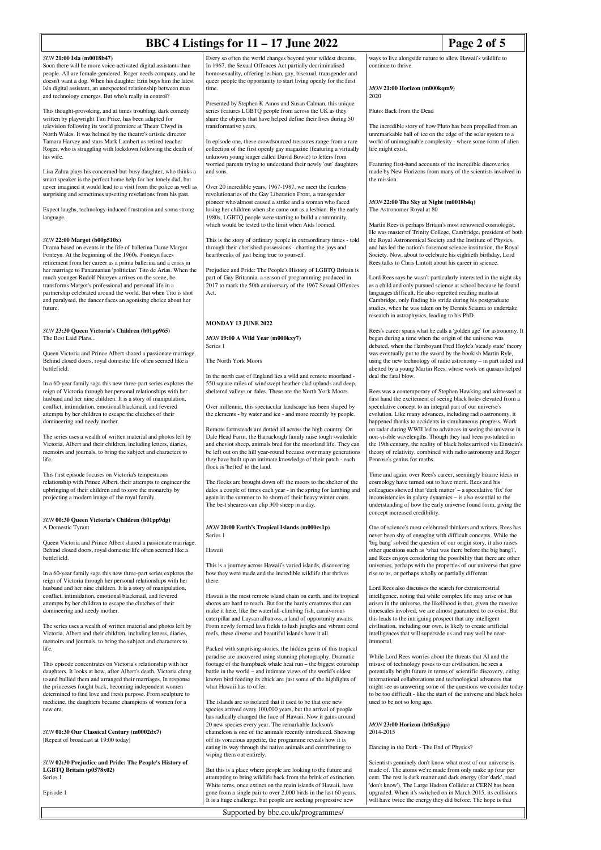| Page 2 of 5<br>BBC 4 Listings for $11 - 17$ June 2022                                                                                                                                                                                                                                                                        |                                                                                                                                                                                                                                                                                                 |                                                                                                                                                                                                                                                                                                                                 |                                                                                                                                                                                                                                                              |
|------------------------------------------------------------------------------------------------------------------------------------------------------------------------------------------------------------------------------------------------------------------------------------------------------------------------------|-------------------------------------------------------------------------------------------------------------------------------------------------------------------------------------------------------------------------------------------------------------------------------------------------|---------------------------------------------------------------------------------------------------------------------------------------------------------------------------------------------------------------------------------------------------------------------------------------------------------------------------------|--------------------------------------------------------------------------------------------------------------------------------------------------------------------------------------------------------------------------------------------------------------|
| SUN 21:00 Isla (m0018b47)<br>Soon there will be more voice-activated digital assistants than<br>people. All are female-gendered. Roger needs company, and he                                                                                                                                                                 | Every so often the world changes beyond your wildest dreams.<br>In 1967, the Sexual Offences Act partially decriminalised<br>homosexuality, offering lesbian, gay, bisexual, transgender and                                                                                                    | ways to live alongside nature to allow Hawaii's wildlife to<br>continue to thrive.                                                                                                                                                                                                                                              |                                                                                                                                                                                                                                                              |
| doesn't want a dog. When his daughter Erin buys him the latest<br>Isla digital assistant, an unexpected relationship between man<br>and technology emerges. But who's really in control?                                                                                                                                     | queer people the opportunity to start living openly for the first<br>time.                                                                                                                                                                                                                      | MON 21:00 Horizon (m000kqm9)<br>2020                                                                                                                                                                                                                                                                                            |                                                                                                                                                                                                                                                              |
| This thought-provoking, and at times troubling, dark comedy<br>written by playwright Tim Price, has been adapted for<br>television following its world premiere at Theatr Clwyd in                                                                                                                                           | Presented by Stephen K Amos and Susan Calman, this unique<br>series features LGBTQ people from across the UK as they<br>share the objects that have helped define their lives during 50<br>transformative years.                                                                                | Pluto: Back from the Dead<br>The incredible story of how Pluto has been propelled from an                                                                                                                                                                                                                                       |                                                                                                                                                                                                                                                              |
| North Wales. It was helmed by the theatre's artistic director<br>Tamara Harvey and stars Mark Lambert as retired teacher<br>Roger, who is struggling with lockdown following the death of                                                                                                                                    | In episode one, these crowdsourced treasures range from a rare<br>collection of the first openly gay magazine (featuring a virtually                                                                                                                                                            | unremarkable ball of ice on the edge of the solar system to a<br>world of unimaginable complexity - where some form of alien<br>life might exist.                                                                                                                                                                               |                                                                                                                                                                                                                                                              |
| his wife.<br>Lisa Zahra plays his concerned-but-busy daughter, who thinks a<br>smart speaker is the perfect home help for her lonely dad, but                                                                                                                                                                                | unknown young singer called David Bowie) to letters from<br>worried parents trying to understand their newly 'out' daughters<br>and sons.                                                                                                                                                       | Featuring first-hand accounts of the incredible discoveries<br>made by New Horizons from many of the scientists involved in<br>the mission.                                                                                                                                                                                     |                                                                                                                                                                                                                                                              |
| never imagined it would lead to a visit from the police as well as<br>surprising and sometimes upsetting revelations from his past.                                                                                                                                                                                          | Over 20 incredible years, 1967-1987, we meet the fearless<br>revolutionaries of the Gay Liberation Front, a transgender<br>pioneer who almost caused a strike and a woman who faced                                                                                                             | MON 22:00 The Sky at Night (m0018b4q)                                                                                                                                                                                                                                                                                           |                                                                                                                                                                                                                                                              |
| Expect laughs, technology-induced frustration and some strong<br>language.                                                                                                                                                                                                                                                   | losing her children when she came out as a lesbian. By the early<br>1980s, LGBTQ people were starting to build a community,<br>which would be tested to the limit when Aids loomed.                                                                                                             | The Astronomer Royal at 80<br>Martin Rees is perhaps Britain's most renowned cosmologist.                                                                                                                                                                                                                                       |                                                                                                                                                                                                                                                              |
| <b>SUN 22:00 Margot (b00p510x)</b><br>Drama based on events in the life of ballerina Dame Margot<br>Fonteyn. At the beginning of the 1960s, Fonteyn faces<br>retirement from her career as a prima ballerina and a crisis in                                                                                                 | This is the story of ordinary people in extraordinary times - told<br>through their cherished possessions - charting the joys and<br>heartbreaks of just being true to yourself.                                                                                                                | He was master of Trinity College, Cambridge, president of both<br>the Royal Astronomical Society and the Institute of Physics,<br>and has led the nation's foremost science institution, the Royal<br>Society. Now, about to celebrate his eightieth birthday, Lord<br>Rees talks to Chris Lintott about his career in science. |                                                                                                                                                                                                                                                              |
| her marriage to Panamanian 'politician' Tito de Arias. When the<br>much younger Rudolf Nureyev arrives on the scene, he<br>transforms Margot's professional and personal life in a<br>partnership celebrated around the world. But when Tito is shot                                                                         | Prejudice and Pride: The People's History of LGBTQ Britain is<br>part of Gay Britannia, a season of programming produced in<br>2017 to mark the 50th anniversary of the 1967 Sexual Offences<br>Act.                                                                                            | Lord Rees says he wasn't particularly interested in the night sky<br>as a child and only pursued science at school because he found<br>languages difficult. He also regretted reading maths at                                                                                                                                  |                                                                                                                                                                                                                                                              |
| and paralysed, the dancer faces an agonising choice about her<br>future.                                                                                                                                                                                                                                                     | <b>MONDAY 13 JUNE 2022</b>                                                                                                                                                                                                                                                                      | Cambridge, only finding his stride during his postgraduate<br>research in astrophysics, leading to his PhD.                                                                                                                                                                                                                     | studies, when he was taken on by Dennis Sciama to undertake                                                                                                                                                                                                  |
| SUN 23:30 Queen Victoria's Children (b01pp965)<br>The Best Laid Plans                                                                                                                                                                                                                                                        | MON 19:00 A Wild Year (m000kxy7)<br>Series 1                                                                                                                                                                                                                                                    | began during a time when the origin of the universe was                                                                                                                                                                                                                                                                         | Rees's career spans what he calls a 'golden age' for astronomy. It<br>debated, when the flamboyant Fred Hoyle's 'steady state' theory                                                                                                                        |
| Queen Victoria and Prince Albert shared a passionate marriage.<br>Behind closed doors, royal domestic life often seemed like a<br>battlefield.                                                                                                                                                                               | The North York Moors<br>In the north east of England lies a wild and remote moorland -                                                                                                                                                                                                          | was eventually put to the sword by the bookish Martin Ryle,<br>deal the fatal blow.                                                                                                                                                                                                                                             | using the new technology of radio astronomy - in part aided and<br>abetted by a young Martin Rees, whose work on quasars helped                                                                                                                              |
| In a 60-year family saga this new three-part series explores the<br>reign of Victoria through her personal relationships with her<br>husband and her nine children. It is a story of manipulation,<br>conflict, intimidation, emotional blackmail, and fevered                                                               | 550 square miles of windswept heather-clad uplands and deep,<br>sheltered valleys or dales. These are the North York Moors.<br>Over millennia, this spectacular landscape has been shaped by                                                                                                    | speculative concept to an integral part of our universe's                                                                                                                                                                                                                                                                       | Rees was a contemporary of Stephen Hawking and witnessed at<br>first hand the excitement of seeing black holes elevated from a                                                                                                                               |
| attempts by her children to escape the clutches of their<br>domineering and needy mother.<br>The series uses a wealth of written material and photos left by                                                                                                                                                                 | the elements - by water and ice - and more recently by people.<br>Remote farmsteads are dotted all across the high country. On<br>Dale Head Farm, the Barraclough family raise tough swaledale                                                                                                  |                                                                                                                                                                                                                                                                                                                                 | evolution. Like many advances, including radio astronomy, it<br>happened thanks to accidents in simultaneous progress. Work<br>on radar during WWII led to advances in seeing the universe in<br>non-visible wavelengths. Though they had been postulated in |
| Victoria, Albert and their children, including letters, diaries,<br>memoirs and journals, to bring the subject and characters to<br>life.                                                                                                                                                                                    | and cheviot sheep, animals bred for the moorland life. They can<br>be left out on the hill year-round because over many generations<br>they have built up an intimate knowledge of their patch - each<br>flock is 'hefted' to the land.                                                         | Penrose's genius for maths.                                                                                                                                                                                                                                                                                                     | the 19th century, the reality of black holes arrived via Einstein's<br>theory of relativity, combined with radio astronomy and Roger                                                                                                                         |
| This first episode focuses on Victoria's tempestuous<br>relationship with Prince Albert, their attempts to engineer the<br>upbringing of their children and to save the monarchy by<br>projecting a modern image of the royal family.                                                                                        | The flocks are brought down off the moors to the shelter of the<br>dales a couple of times each year - in the spring for lambing and<br>again in the summer to be shorn of their heavy winter coats.<br>The best shearers can clip 300 sheep in a day.                                          | cosmology have turned out to have merit. Rees and his<br>inconsistencies in galaxy dynamics - is also essential to the<br>concept increased credibility.                                                                                                                                                                        | Time and again, over Rees's career, seemingly bizarre ideas in<br>colleagues showed that 'dark matter' - a speculative 'fix' for<br>understanding of how the early universe found form, giving the                                                           |
| SUN 00:30 Queen Victoria's Children (b01pp9dg)<br>A Domestic Tyrant<br>Queen Victoria and Prince Albert shared a passionate marriage.                                                                                                                                                                                        | MON 20:00 Earth's Tropical Islands (m000cs1p)<br>Series 1                                                                                                                                                                                                                                       |                                                                                                                                                                                                                                                                                                                                 | One of science's most celebrated thinkers and writers, Rees has<br>never been shy of engaging with difficult concepts. While the<br>'big bang' solved the question of our origin story, it also raises                                                       |
| Behind closed doors, royal domestic life often seemed like a<br>battlefield.                                                                                                                                                                                                                                                 | Hawaii<br>This is a journey across Hawaii's varied islands, discovering                                                                                                                                                                                                                         |                                                                                                                                                                                                                                                                                                                                 | other questions such as 'what was there before the big bang?',<br>and Rees enjoys considering the possibility that there are other<br>universes, perhaps with the properties of our universe that gave                                                       |
| In a 60-year family saga this new three-part series explores the<br>reign of Victoria through her personal relationships with her<br>husband and her nine children. It is a story of manipulation,                                                                                                                           | how they were made and the incredible wildlife that thrives<br>there.                                                                                                                                                                                                                           | rise to us, or perhaps wholly or partially different.<br>Lord Rees also discusses the search for extraterrestrial                                                                                                                                                                                                               |                                                                                                                                                                                                                                                              |
| conflict, intimidation, emotional blackmail, and fevered<br>attempts by her children to escape the clutches of their<br>domineering and needy mother.                                                                                                                                                                        | Hawaii is the most remote island chain on earth, and its tropical<br>shores are hard to reach. But for the hardy creatures that can<br>make it here, like the waterfall-climbing fish, carnivorous<br>caterpillar and Laysan albatross, a land of opportunity awaits.                           | intelligence, noting that while complex life may arise or has<br>this leads to the intriguing prospect that any intelligent                                                                                                                                                                                                     | arisen in the universe, the likelihood is that, given the massive<br>timescales involved, we are almost guaranteed to co-exist. But                                                                                                                          |
| The series uses a wealth of written material and photos left by<br>Victoria, Albert and their children, including letters, diaries,<br>memoirs and journals, to bring the subject and characters to<br>life.                                                                                                                 | From newly formed lava fields to lush jungles and vibrant coral<br>reefs, these diverse and beautiful islands have it all.<br>Packed with surprising stories, the hidden gems of this tropical                                                                                                  | civilisation, including our own, is likely to create artificial<br>intelligences that will supersede us and may well be near-<br>immortal.                                                                                                                                                                                      |                                                                                                                                                                                                                                                              |
| This episode concentrates on Victoria's relationship with her<br>daughters. It looks at how, after Albert's death, Victoria clung<br>to and bullied them and arranged their marriages. In response<br>the princesses fought back, becoming independent women<br>determined to find love and fresh purpose. From sculpture to | paradise are uncovered using stunning photography. Dramatic<br>footage of the humpback whale heat run – the biggest courtship<br>battle in the world – and intimate views of the world's oldest<br>known bird feeding its chick are just some of the highlights of<br>what Hawaii has to offer. | While Lord Rees worries about the threats that AI and the<br>misuse of technology poses to our civilisation, he sees a<br>international collaborations and technological advances that                                                                                                                                          | potentially bright future in terms of scientific discovery, citing<br>might see us answering some of the questions we consider today<br>to be too difficult - like the start of the universe and black holes                                                 |
| medicine, the daughters became champions of women for a<br>new era.                                                                                                                                                                                                                                                          | The islands are so isolated that it used to be that one new<br>species arrived every 100,000 years, but the arrival of people<br>has radically changed the face of Hawaii. Now it gains around<br>20 new species every year. The remarkable Jackson's                                           | used to be not so long ago.<br>$MON$ 23:00 Horizon (b05n8jqs)                                                                                                                                                                                                                                                                   |                                                                                                                                                                                                                                                              |
| SUN 01:30 Our Classical Century (m0002dx7)<br>[Repeat of broadcast at 19:00 today]                                                                                                                                                                                                                                           | chameleon is one of the animals recently introduced. Showing<br>off its voracious appetite, the programme reveals how it is<br>eating its way through the native animals and contributing to                                                                                                    | 2014-2015<br>Dancing in the Dark - The End of Physics?                                                                                                                                                                                                                                                                          |                                                                                                                                                                                                                                                              |
| SUN 02:30 Prejudice and Pride: The People's History of<br>LGBTQ Britain (p0578x02)<br>Series 1                                                                                                                                                                                                                               | wiping them out entirely.<br>But this is a place where people are looking to the future and<br>attempting to bring wildlife back from the brink of extinction.                                                                                                                                  |                                                                                                                                                                                                                                                                                                                                 | Scientists genuinely don't know what most of our universe is<br>made of. The atoms we're made from only make up four per<br>cent. The rest is dark matter and dark energy (for 'dark', read                                                                  |
| Episode 1                                                                                                                                                                                                                                                                                                                    | White terns, once extinct on the main islands of Hawaii, have<br>gone from a single pair to over 2,000 birds in the last 60 years.<br>It is a huge challenge, but people are seeking progressive new                                                                                            | will have twice the energy they did before. The hope is that                                                                                                                                                                                                                                                                    | 'don't know'). The Large Hadron Collider at CERN has been<br>upgraded. When it's switched on in March 2015, its collisions                                                                                                                                   |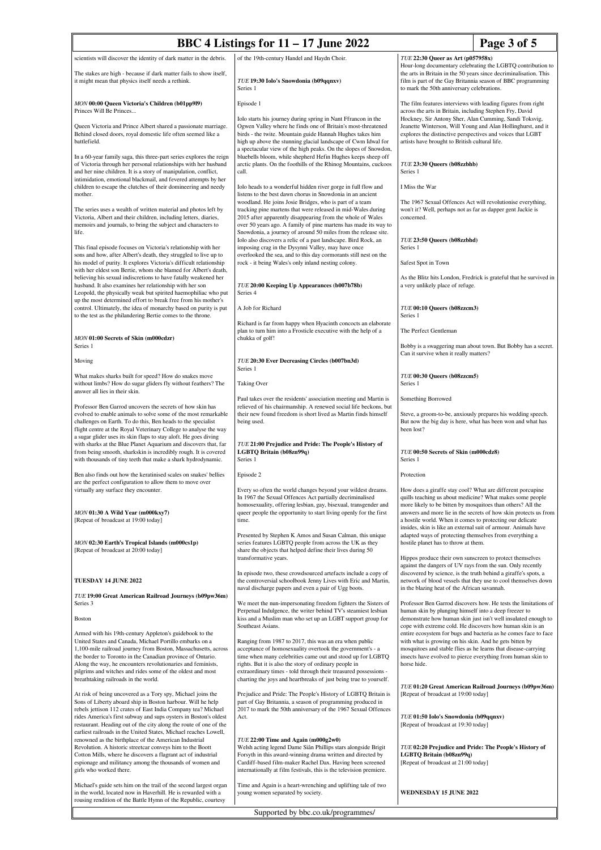|                                                                                                                                                                                                                                                                                                                                                                                                                         | BBC 4 Listings for $11 - 17$ June 2022                                                                                                                                                                                                                                                                                                                                               |                                                                                                                                                                                                                                                                                                                                                                    | Page 3 of 5                                                                                                                                                                                     |
|-------------------------------------------------------------------------------------------------------------------------------------------------------------------------------------------------------------------------------------------------------------------------------------------------------------------------------------------------------------------------------------------------------------------------|--------------------------------------------------------------------------------------------------------------------------------------------------------------------------------------------------------------------------------------------------------------------------------------------------------------------------------------------------------------------------------------|--------------------------------------------------------------------------------------------------------------------------------------------------------------------------------------------------------------------------------------------------------------------------------------------------------------------------------------------------------------------|-------------------------------------------------------------------------------------------------------------------------------------------------------------------------------------------------|
| scientists will discover the identity of dark matter in the debris.                                                                                                                                                                                                                                                                                                                                                     | of the 19th-century Handel and Haydn Choir.                                                                                                                                                                                                                                                                                                                                          | TUE 22:30 Queer as Art (p057958x)                                                                                                                                                                                                                                                                                                                                  |                                                                                                                                                                                                 |
| The stakes are high - because if dark matter fails to show itself,<br>it might mean that physics itself needs a rethink.                                                                                                                                                                                                                                                                                                | TUE 19:30 Iolo's Snowdonia (b09qqnxv)<br>Series 1                                                                                                                                                                                                                                                                                                                                    | to mark the 50th anniversary celebrations.                                                                                                                                                                                                                                                                                                                         | Hour-long documentary celebrating the LGBTQ contribution to<br>the arts in Britain in the 50 years since decriminalisation. This<br>film is part of the Gay Britannia season of BBC programming |
| MON 00:00 Queen Victoria's Children (b01pp9l9)<br>Princes Will Be Princes                                                                                                                                                                                                                                                                                                                                               | Episode 1                                                                                                                                                                                                                                                                                                                                                                            | The film features interviews with leading figures from right<br>across the arts in Britain, including Stephen Fry, David<br>Hockney, Sir Antony Sher, Alan Cumming, Sandi Toksvig,<br>Jeanette Winterson, Will Young and Alan Hollinghurst, and it<br>explores the distinctive perspectives and voices that LGBT<br>artists have brought to British cultural life. |                                                                                                                                                                                                 |
| Queen Victoria and Prince Albert shared a passionate marriage.<br>Behind closed doors, royal domestic life often seemed like a<br>battlefield.                                                                                                                                                                                                                                                                          | Iolo starts his journey during spring in Nant Ffrancon in the<br>Ogwen Valley where he finds one of Britain's most-threatened<br>birds - the twite. Mountain guide Hannah Hughes takes him<br>high up above the stunning glacial landscape of Cwm Idwal for<br>a spectacular view of the high peaks. On the slopes of Snowdon,                                                       |                                                                                                                                                                                                                                                                                                                                                                    |                                                                                                                                                                                                 |
| In a 60-year family saga, this three-part series explores the reign<br>of Victoria through her personal relationships with her husband<br>and her nine children. It is a story of manipulation, conflict,<br>intimidation, emotional blackmail, and fevered attempts by her                                                                                                                                             | bluebells bloom, while shepherd Hefin Hughes keeps sheep off<br>arctic plants. On the foothills of the Rhinog Mountains, cuckoos<br>call.                                                                                                                                                                                                                                            | TUE 23:30 Queers (b08zzbhb)<br>Series 1                                                                                                                                                                                                                                                                                                                            |                                                                                                                                                                                                 |
| children to escape the clutches of their domineering and needy<br>mother.                                                                                                                                                                                                                                                                                                                                               | Iolo heads to a wonderful hidden river gorge in full flow and<br>listens to the best dawn chorus in Snowdonia in an ancient                                                                                                                                                                                                                                                          | I Miss the War                                                                                                                                                                                                                                                                                                                                                     |                                                                                                                                                                                                 |
| The series uses a wealth of written material and photos left by<br>Victoria, Albert and their children, including letters, diaries,<br>memoirs and journals, to bring the subject and characters to                                                                                                                                                                                                                     | woodland. He joins Josie Bridges, who is part of a team<br>tracking pine martens that were released in mid-Wales during<br>2015 after apparently disappearing from the whole of Wales<br>over 50 years ago. A family of pine martens has made its way to                                                                                                                             | The 1967 Sexual Offences Act will revolutionise everything,<br>won't it? Well, perhaps not as far as dapper gent Jackie is<br>concerned.                                                                                                                                                                                                                           |                                                                                                                                                                                                 |
| life.<br>This final episode focuses on Victoria's relationship with her                                                                                                                                                                                                                                                                                                                                                 | Snowdonia, a journey of around 50 miles from the release site.<br>Iolo also discovers a relic of a past landscape. Bird Rock, an<br>imposing crag in the Dysynni Valley, may have once                                                                                                                                                                                               | TUE 23:50 Queers (b08zzbhd)<br>Series 1                                                                                                                                                                                                                                                                                                                            |                                                                                                                                                                                                 |
| sons and how, after Albert's death, they struggled to live up to<br>his model of purity. It explores Victoria's difficult relationship<br>with her eldest son Bertie, whom she blamed for Albert's death,                                                                                                                                                                                                               | overlooked the sea, and to this day cormorants still nest on the<br>rock - it being Wales's only inland nesting colony.                                                                                                                                                                                                                                                              | Safest Spot in Town                                                                                                                                                                                                                                                                                                                                                |                                                                                                                                                                                                 |
| believing his sexual indiscretions to have fatally weakened her<br>husband. It also examines her relationship with her son<br>Leopold, the physically weak but spirited haemophiliac who put                                                                                                                                                                                                                            | TUE 20:00 Keeping Up Appearances (b007b78b)<br>Series 4                                                                                                                                                                                                                                                                                                                              | a very unlikely place of refuge.                                                                                                                                                                                                                                                                                                                                   | As the Blitz hits London, Fredrick is grateful that he survived in                                                                                                                              |
| up the most determined effort to break free from his mother's<br>control. Ultimately, the idea of monarchy based on purity is put<br>to the test as the philandering Bertie comes to the throne.                                                                                                                                                                                                                        | A Job for Richard                                                                                                                                                                                                                                                                                                                                                                    | TUE 00:10 Queers (b08zzcm3)<br>Series 1                                                                                                                                                                                                                                                                                                                            |                                                                                                                                                                                                 |
| MON 01:00 Secrets of Skin (m000cdzr)                                                                                                                                                                                                                                                                                                                                                                                    | Richard is far from happy when Hyacinth concocts an elaborate<br>plan to turn him into a Frosticle executive with the help of a<br>chukka of golf!                                                                                                                                                                                                                                   | The Perfect Gentleman                                                                                                                                                                                                                                                                                                                                              |                                                                                                                                                                                                 |
| Series 1                                                                                                                                                                                                                                                                                                                                                                                                                |                                                                                                                                                                                                                                                                                                                                                                                      | Can it survive when it really matters?                                                                                                                                                                                                                                                                                                                             | Bobby is a swaggering man about town. But Bobby has a secret.                                                                                                                                   |
| Moving                                                                                                                                                                                                                                                                                                                                                                                                                  | TUE 20:30 Ever Decreasing Circles (b007bn3d)<br>Series 1                                                                                                                                                                                                                                                                                                                             | TUE 00:30 Queers (b08zzcm5)                                                                                                                                                                                                                                                                                                                                        |                                                                                                                                                                                                 |
| What makes sharks built for speed? How do snakes move<br>without limbs? How do sugar gliders fly without feathers? The<br>answer all lies in their skin.                                                                                                                                                                                                                                                                | <b>Taking Over</b>                                                                                                                                                                                                                                                                                                                                                                   | Series 1                                                                                                                                                                                                                                                                                                                                                           |                                                                                                                                                                                                 |
| Professor Ben Garrod uncovers the secrets of how skin has                                                                                                                                                                                                                                                                                                                                                               | Paul takes over the residents' association meeting and Martin is<br>relieved of his chairmanship. A renewed social life beckons, but                                                                                                                                                                                                                                                 | Something Borrowed                                                                                                                                                                                                                                                                                                                                                 |                                                                                                                                                                                                 |
| evolved to enable animals to solve some of the most remarkable<br>challenges on Earth. To do this, Ben heads to the specialist<br>flight centre at the Royal Veterinary College to analyse the way<br>a sugar glider uses its skin flaps to stay aloft. He goes diving                                                                                                                                                  | their new found freedom is short lived as Martin finds himself<br>being used.                                                                                                                                                                                                                                                                                                        | Steve, a groom-to-be, anxiously prepares his wedding speech.<br>But now the big day is here, what has been won and what has<br>been lost?                                                                                                                                                                                                                          |                                                                                                                                                                                                 |
| with sharks at the Blue Planet Aquarium and discovers that, far<br>from being smooth, sharkskin is incredibly rough. It is covered<br>with thousands of tiny teeth that make a shark hydrodynamic.                                                                                                                                                                                                                      | TUE 21:00 Prejudice and Pride: The People's History of<br>LGBTQ Britain (b08zn99q)<br>Series 1                                                                                                                                                                                                                                                                                       | TUE 00:50 Secrets of Skin (m000cdz8)<br>Series 1                                                                                                                                                                                                                                                                                                                   |                                                                                                                                                                                                 |
| Ben also finds out how the keratinised scales on snakes' bellies<br>are the perfect configuration to allow them to move over                                                                                                                                                                                                                                                                                            | Episode 2                                                                                                                                                                                                                                                                                                                                                                            | Protection                                                                                                                                                                                                                                                                                                                                                         |                                                                                                                                                                                                 |
| virtually any surface they encounter.                                                                                                                                                                                                                                                                                                                                                                                   | Every so often the world changes beyond your wildest dreams.<br>In 1967 the Sexual Offences Act partially decriminalised<br>homosexuality, offering lesbian, gay, bisexual, transgender and                                                                                                                                                                                          | How does a giraffe stay cool? What are different porcupine<br>quills teaching us about medicine? What makes some people<br>more likely to be bitten by mosquitoes than others? All the                                                                                                                                                                             |                                                                                                                                                                                                 |
| MON 01:30 A Wild Year (m000kxy7)<br>[Repeat of broadcast at 19:00 today]                                                                                                                                                                                                                                                                                                                                                | queer people the opportunity to start living openly for the first<br>time.                                                                                                                                                                                                                                                                                                           | a hostile world. When it comes to protecting our delicate<br>insides, skin is like an external suit of armour. Animals have                                                                                                                                                                                                                                        | answers and more lie in the secrets of how skin protects us from                                                                                                                                |
| MON 02:30 Earth's Tropical Islands (m000cs1p)<br>[Repeat of broadcast at 20:00 today]                                                                                                                                                                                                                                                                                                                                   | Presented by Stephen K Amos and Susan Calman, this unique<br>series features LGBTQ people from across the UK as they<br>share the objects that helped define their lives during 50                                                                                                                                                                                                   | adapted ways of protecting themselves from everything a<br>hostile planet has to throw at them.                                                                                                                                                                                                                                                                    |                                                                                                                                                                                                 |
|                                                                                                                                                                                                                                                                                                                                                                                                                         | transformative years.                                                                                                                                                                                                                                                                                                                                                                | Hippos produce their own sunscreen to protect themselves<br>against the dangers of UV rays from the sun. Only recently                                                                                                                                                                                                                                             |                                                                                                                                                                                                 |
| <b>TUESDAY 14 JUNE 2022</b>                                                                                                                                                                                                                                                                                                                                                                                             | In episode two, these crowdsourced artefacts include a copy of<br>the controversial schoolbook Jenny Lives with Eric and Martin,<br>naval discharge papers and even a pair of Ugg boots.                                                                                                                                                                                             | discovered by science, is the truth behind a giraffe's spots, a<br>in the blazing heat of the African savannah.                                                                                                                                                                                                                                                    | network of blood vessels that they use to cool themselves down                                                                                                                                  |
| TUE 19:00 Great American Railroad Journeys (b09pw36m)<br>Series 3                                                                                                                                                                                                                                                                                                                                                       | We meet the nun-impersonating freedom fighters the Sisters of<br>Perpetual Indulgence, the writer behind TV's steamiest lesbian                                                                                                                                                                                                                                                      | human skin by plunging himself into a deep freezer to                                                                                                                                                                                                                                                                                                              | Professor Ben Garrod discovers how. He tests the limitations of                                                                                                                                 |
| Boston                                                                                                                                                                                                                                                                                                                                                                                                                  | kiss and a Muslim man who set up an LGBT support group for<br>Southeast Asians.                                                                                                                                                                                                                                                                                                      | cope with extreme cold. He discovers how human skin is an                                                                                                                                                                                                                                                                                                          | demonstrate how human skin just isn't well insulated enough to                                                                                                                                  |
| Armed with his 19th-century Appleton's guidebook to the<br>United States and Canada, Michael Portillo embarks on a<br>1,100-mile railroad journey from Boston, Massachusetts, across<br>the border to Toronto in the Canadian province of Ontario.<br>Along the way, he encounters revolutionaries and feminists,<br>pilgrims and witches and rides some of the oldest and most<br>breathtaking railroads in the world. | Ranging from 1987 to 2017, this was an era when public<br>acceptance of homosexuality overtook the government's - a<br>time when many celebrities came out and stood up for LGBTQ<br>rights. But it is also the story of ordinary people in<br>extraordinary times - told through their treasured possessions -<br>charting the joys and heartbreaks of just being true to yourself. | with what is growing on his skin. And he gets bitten by<br>mosquitoes and stable flies as he learns that disease-carrying<br>insects have evolved to pierce everything from human skin to<br>horse hide.                                                                                                                                                           | entire ecosystem for bugs and bacteria as he comes face to face                                                                                                                                 |
| At risk of being uncovered as a Tory spy, Michael joins the                                                                                                                                                                                                                                                                                                                                                             | Prejudice and Pride: The People's History of LGBTQ Britain is                                                                                                                                                                                                                                                                                                                        | [Repeat of broadcast at 19:00 today]                                                                                                                                                                                                                                                                                                                               | TUE 01:20 Great American Railroad Journeys (b09pw36m)                                                                                                                                           |
| Sons of Liberty aboard ship in Boston harbour. Will he help<br>rebels jettison 112 crates of East India Company tea? Michael<br>rides America's first subway and sups oysters in Boston's oldest<br>restaurant. Heading out of the city along the route of one of the<br>earliest railroads in the United States, Michael reaches Lowell,                                                                               | part of Gay Britannia, a season of programming produced in<br>2017 to mark the 50th anniversary of the 1967 Sexual Offences<br>Act.                                                                                                                                                                                                                                                  | TUE 01:50 Iolo's Snowdonia (b09qqnxv)<br>[Repeat of broadcast at 19:30 today]                                                                                                                                                                                                                                                                                      |                                                                                                                                                                                                 |
| renowned as the birthplace of the American Industrial<br>Revolution. A historic streetcar conveys him to the Boott<br>Cotton Mills, where he discovers a flagrant act of industrial<br>espionage and militancy among the thousands of women and<br>girls who worked there.                                                                                                                                              | TUE 22:00 Time and Again (m000g2w0)<br>Welsh acting legend Dame Siân Phillips stars alongside Brigit<br>Forsyth in this award-winning drama written and directed by<br>Cardiff-based film-maker Rachel Dax. Having been screened<br>internationally at film festivals, this is the television premiere.                                                                              | TUE 02:20 Prejudice and Pride: The People's History of<br>LGBTQ Britain (b08zn99q)<br>[Repeat of broadcast at 21:00 today]                                                                                                                                                                                                                                         |                                                                                                                                                                                                 |
| Michael's guide sets him on the trail of the second largest organ<br>in the world, located now in Haverhill. He is rewarded with a<br>rousing rendition of the Battle Hymn of the Republic, courtesy                                                                                                                                                                                                                    | Time and Again is a heart-wrenching and uplifting tale of two<br>young women separated by society.                                                                                                                                                                                                                                                                                   | <b>WEDNESDAY 15 JUNE 2022</b>                                                                                                                                                                                                                                                                                                                                      |                                                                                                                                                                                                 |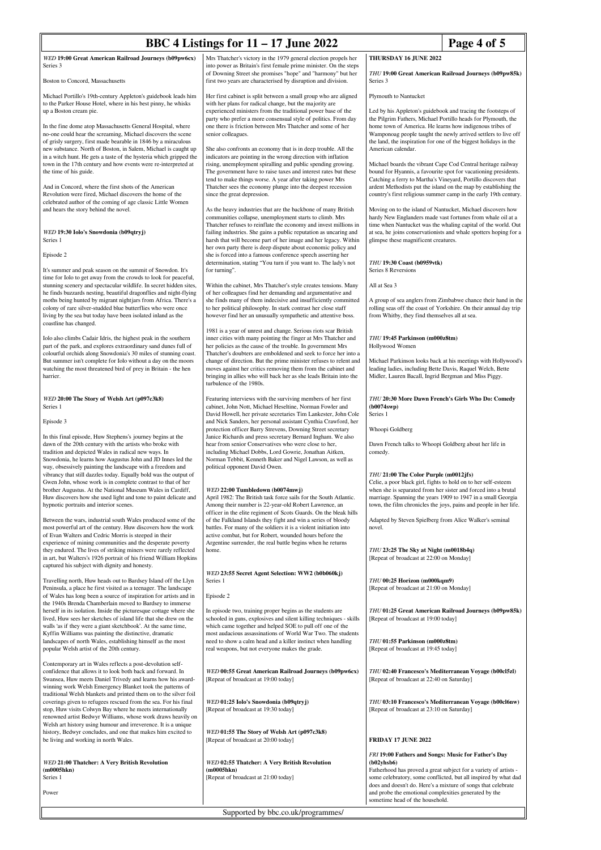| BBC 4 Listings for $11 - 17$ June 2022<br>Page 4 of 5                                                                                                                                                                                                                                                                                                                                                                                                                      |                                                                                                                                                                                                                                                                                                                                                                                                                              |                                                                                                                                                                                                                                                                                                                                                                |                                                                                                                                     |
|----------------------------------------------------------------------------------------------------------------------------------------------------------------------------------------------------------------------------------------------------------------------------------------------------------------------------------------------------------------------------------------------------------------------------------------------------------------------------|------------------------------------------------------------------------------------------------------------------------------------------------------------------------------------------------------------------------------------------------------------------------------------------------------------------------------------------------------------------------------------------------------------------------------|----------------------------------------------------------------------------------------------------------------------------------------------------------------------------------------------------------------------------------------------------------------------------------------------------------------------------------------------------------------|-------------------------------------------------------------------------------------------------------------------------------------|
| WED 19:00 Great American Railroad Journeys (b09pw6cx)<br>Series 3                                                                                                                                                                                                                                                                                                                                                                                                          | Mrs Thatcher's victory in the 1979 general election propels her<br>into power as Britain's first female prime minister. On the steps                                                                                                                                                                                                                                                                                         | <b>THURSDAY 16 JUNE 2022</b>                                                                                                                                                                                                                                                                                                                                   |                                                                                                                                     |
| Boston to Concord, Massachusetts                                                                                                                                                                                                                                                                                                                                                                                                                                           | of Downing Street she promises "hope" and "harmony" but her<br>first two years are characterised by disruption and division.                                                                                                                                                                                                                                                                                                 | THU 19:00 Great American Railroad Journeys (b09pw85k)<br>Series 3                                                                                                                                                                                                                                                                                              |                                                                                                                                     |
| Michael Portillo's 19th-century Appleton's guidebook leads him<br>to the Parker House Hotel, where in his best pinny, he whisks<br>up a Boston cream pie.<br>In the fine dome atop Massachusetts General Hospital, where<br>no-one could hear the screaming, Michael discovers the scene<br>of grisly surgery, first made bearable in 1846 by a miraculous                                                                                                                 | Her first cabinet is split between a small group who are aligned<br>with her plans for radical change, but the majority are<br>experienced ministers from the traditional power base of the<br>party who prefer a more consensual style of politics. From day<br>one there is friction between Mrs Thatcher and some of her<br>senior colleagues.                                                                            | Plymouth to Nantucket<br>Led by his Appleton's guidebook and tracing the footsteps of<br>the Pilgrim Fathers, Michael Portillo heads for Plymouth, the<br>home town of America. He learns how indigenous tribes of<br>Wamponoag people taught the newly arrived settlers to live off<br>the land, the inspiration for one of the biggest holidays in the       |                                                                                                                                     |
| new substance. North of Boston, in Salem, Michael is caught up<br>in a witch hunt. He gets a taste of the hysteria which gripped the<br>town in the 17th century and how events were re-interpreted at<br>the time of his guide.<br>And in Concord, where the first shots of the American<br>Revolution were fired, Michael discovers the home of the<br>celebrated author of the coming of age classic Little Women                                                       | She also confronts an economy that is in deep trouble. All the<br>indicators are pointing in the wrong direction with inflation<br>rising, unemployment spiralling and public spending growing.<br>The government have to raise taxes and interest rates but these<br>tend to make things worse. A year after taking power Mrs<br>Thatcher sees the economy plunge into the deepest recession<br>since the great depression. | American calendar.<br>Michael boards the vibrant Cape Cod Central heritage railway<br>bound for Hyannis, a favourite spot for vacationing presidents.<br>Catching a ferry to Martha's Vineyard, Portillo discovers that<br>ardent Methodists put the island on the map by establishing the<br>country's first religious summer camp in the early 19th century. |                                                                                                                                     |
| and hears the story behind the novel.<br>WED 19:30 Iolo's Snowdonia (b09qtryj)<br>Series 1                                                                                                                                                                                                                                                                                                                                                                                 | As the heavy industries that are the backbone of many British<br>communities collapse, unemployment starts to climb. Mrs<br>Thatcher refuses to reinflate the economy and invest millions in<br>failing industries. She gains a public reputation as uncaring and<br>harsh that will become part of her image and her legacy. Within                                                                                         | Moving on to the island of Nantucket, Michael discovers how<br>hardy New Englanders made vast fortunes from whale oil at a<br>time when Nantucket was the whaling capital of the world. Out<br>at sea, he joins conservationists and whale spotters hoping for a<br>glimpse these magnificent creatures.                                                       |                                                                                                                                     |
| Episode 2                                                                                                                                                                                                                                                                                                                                                                                                                                                                  | her own party there is deep dispute about economic policy and<br>she is forced into a famous conference speech asserting her<br>determination, stating "You turn if you want to. The lady's not                                                                                                                                                                                                                              | THU 19:30 Coast (b0959vtk)                                                                                                                                                                                                                                                                                                                                     |                                                                                                                                     |
| It's summer and peak season on the summit of Snowdon. It's<br>time for Iolo to get away from the crowds to look for peaceful,<br>stunning scenery and spectacular wildlife. In secret hidden sites,<br>he finds buzzards nesting, beautiful dragonflies and night-flying<br>moths being hunted by migrant nightjars from Africa. There's a<br>colony of rare silver-studded blue butterflies who were once<br>living by the sea but today have been isolated inland as the | for turning".<br>Within the cabinet, Mrs Thatcher's style creates tensions. Many<br>of her colleagues find her demanding and argumentative and<br>she finds many of them indecisive and insufficiently committed<br>to her political philosophy. In stark contrast her close staff<br>however find her an unusually sympathetic and attentive boss.                                                                          | Series 8 Reversions<br>All at Sea 3<br>from Whitby, they find themselves all at sea.                                                                                                                                                                                                                                                                           | A group of sea anglers from Zimbabwe chance their hand in the<br>rolling seas off the coast of Yorkshire. On their annual day trip  |
| coastline has changed.<br>Iolo also climbs Cadair Idris, the highest peak in the southern<br>part of the park, and explores extraordinary sand dunes full of<br>colourful orchids along Snowdonia's 30 miles of stunning coast.<br>But summer isn't complete for Iolo without a day on the moors<br>watching the most threatened bird of prey in Britain - the hen                                                                                                         | 1981 is a year of unrest and change. Serious riots scar British<br>inner cities with many pointing the finger at Mrs Thatcher and<br>her policies as the cause of the trouble. In government Mrs<br>Thatcher's doubters are emboldened and seek to force her into a<br>change of direction. But the prime minister refuses to relent and<br>moves against her critics removing them from the cabinet and                     | THU 19:45 Parkinson (m000z8tm)<br>Hollywood Women<br>leading ladies, including Bette Davis, Raquel Welch, Bette                                                                                                                                                                                                                                                | Michael Parkinson looks back at his meetings with Hollywood's                                                                       |
| harrier.<br>WED 20:00 The Story of Welsh Art (p097c3k8)<br>Series 1                                                                                                                                                                                                                                                                                                                                                                                                        | bringing in allies who will back her as she leads Britain into the<br>turbulence of the 1980s.<br>Featuring interviews with the surviving members of her first<br>cabinet, John Nott, Michael Heseltine, Norman Fowler and<br>David Howell, her private secretaries Tim Lankester, John Cole                                                                                                                                 | Midler, Lauren Bacall, Ingrid Bergman and Miss Piggy.<br>THU 20:30 More Dawn French's Girls Who Do: Comedy<br>(b0074swp)<br>Series 1                                                                                                                                                                                                                           |                                                                                                                                     |
| Episode 3<br>In this final episode, Huw Stephens's journey begins at the<br>dawn of the 20th century with the artists who broke with<br>tradition and depicted Wales in radical new ways. In<br>Snowdonia, he learns how Augustus John and JD Innes led the<br>way, obsessively painting the landscape with a freedom and                                                                                                                                                  | and Nick Sanders, her personal assistant Cynthia Crawford, her<br>protection officer Barry Strevens, Downing Street secretary<br>Janice Richards and press secretary Bernard Ingham. We also<br>hear from senior Conservatives who were close to her,<br>including Michael Dobbs, Lord Gowrie, Jonathan Aitken,<br>Norman Tebbit, Kenneth Baker and Nigel Lawson, as well as<br>political opponent David Owen.               | Whoopi Goldberg<br>Dawn French talks to Whoopi Goldberg about her life in<br>comedy.                                                                                                                                                                                                                                                                           |                                                                                                                                     |
| vibrancy that still dazzles today. Equally bold was the output of<br>Gwen John, whose work is in complete contrast to that of her<br>brother Augustus. At the National Museum Wales in Cardiff,<br>Huw discovers how she used light and tone to paint delicate and<br>hypnotic portraits and interior scenes.                                                                                                                                                              | WED 22:00 Tumbledown (b0074mwj)<br>April 1982: The British task force sails for the South Atlantic.<br>Among their number is 22-year-old Robert Lawrence, an<br>officer in the elite regiment of Scots Guards. On the bleak hills                                                                                                                                                                                            | THU 21:00 The Color Purple (m0012jfs)<br>Celie, a poor black girl, fights to hold on to her self-esteem<br>when she is separated from her sister and forced into a brutal                                                                                                                                                                                      | marriage. Spanning the years 1909 to 1947 in a small Georgia<br>town, the film chronicles the joys, pains and people in her life.   |
| Between the wars, industrial south Wales produced some of the<br>most powerful art of the century. Huw discovers how the work<br>of Evan Walters and Cedric Morris is steeped in their<br>experience of mining communities and the desperate poverty<br>they endured. The lives of striking miners were rarely reflected<br>in art, but Walters's 1926 portrait of his friend William Hopkins<br>captured his subject with dignity and honesty.                            | of the Falkland Islands they fight and win a series of bloody<br>battles. For many of the soldiers it is a violent initiation into<br>active combat, but for Robert, wounded hours before the<br>Argentine surrender, the real battle begins when he returns<br>home.                                                                                                                                                        | Adapted by Steven Spielberg from Alice Walker's seminal<br>novel.<br>THU 23:25 The Sky at Night (m0018b4q)<br>[Repeat of broadcast at 22:00 on Monday]                                                                                                                                                                                                         |                                                                                                                                     |
| Travelling north, Huw heads out to Bardsey Island off the Llyn<br>Peninsula, a place he first visited as a teenager. The landscape<br>of Wales has long been a source of inspiration for artists and in<br>the 1940s Brenda Chamberlain moved to Bardsey to immerse                                                                                                                                                                                                        | WED 23:55 Secret Agent Selection: WW2 (b0b060kj)<br>Series 1<br>Episode 2                                                                                                                                                                                                                                                                                                                                                    | THU 00:25 Horizon (m000kqm9)<br>[Repeat of broadcast at 21:00 on Monday]                                                                                                                                                                                                                                                                                       |                                                                                                                                     |
| herself in its isolation. Inside the picturesque cottage where she<br>lived, Huw sees her sketches of island life that she drew on the<br>walls 'as if they were a giant sketchbook'. At the same time,<br>Kyffin Williams was painting the distinctive, dramatic<br>landscapes of north Wales, establishing himself as the most<br>popular Welsh artist of the 20th century.                                                                                              | In episode two, training proper begins as the students are<br>schooled in guns, explosives and silent killing techniques - skills<br>which came together and helped SOE to pull off one of the<br>most audacious assassinations of World War Two. The students<br>need to show a calm head and a killer instinct when handling<br>real weapons, but not everyone makes the grade.                                            | [Repeat of broadcast at 19:00 today]<br>THU 01:55 Parkinson (m000z8tm)<br>[Repeat of broadcast at 19:45 today]                                                                                                                                                                                                                                                 | THU 01:25 Great American Railroad Journeys (b09pw85k)                                                                               |
| Contemporary art in Wales reflects a post-devolution self-<br>confidence that allows it to look both back and forward. In<br>Swansea, Huw meets Daniel Trivedy and learns how his award-<br>winning work Welsh Emergency Blanket took the patterns of                                                                                                                                                                                                                      | WED 00:55 Great American Railroad Journeys (b09pw6cx)<br>[Repeat of broadcast at 19:00 today]                                                                                                                                                                                                                                                                                                                                | THU 02:40 Francesco's Mediterranean Voyage (b00cl5zl)<br>[Repeat of broadcast at 22:40 on Saturday]                                                                                                                                                                                                                                                            |                                                                                                                                     |
| traditional Welsh blankets and printed them on to the silver foil<br>coverings given to refugees rescued from the sea. For his final<br>stop, Huw visits Colwyn Bay where he meets internationally<br>renowned artist Bedwyr Williams, whose work draws heavily on<br>Welsh art history using humour and irreverence. It is a unique                                                                                                                                       | WED 01:25 Iolo's Snowdonia (b09qtryj)<br>[Repeat of broadcast at 19:30 today]                                                                                                                                                                                                                                                                                                                                                | [Repeat of broadcast at 23:10 on Saturday]                                                                                                                                                                                                                                                                                                                     | THU 03:10 Francesco's Mediterranean Voyage (b00cl6nw)                                                                               |
| history, Bedwyr concludes, and one that makes him excited to<br>be living and working in north Wales.                                                                                                                                                                                                                                                                                                                                                                      | WED 01:55 The Story of Welsh Art (p097c3k8)<br>[Repeat of broadcast at 20:00 today]                                                                                                                                                                                                                                                                                                                                          | <b>FRIDAY 17 JUNE 2022</b>                                                                                                                                                                                                                                                                                                                                     |                                                                                                                                     |
| WED 21:00 Thatcher: A Very British Revolution<br>(m0005hkn)<br>Series 1<br>Power                                                                                                                                                                                                                                                                                                                                                                                           | WED 02:55 Thatcher: A Very British Revolution<br>$(m0005$ hkn $)$<br>[Repeat of broadcast at 21:00 today]                                                                                                                                                                                                                                                                                                                    | FRI 19:00 Fathers and Songs: Music for Father's Day<br>(b02yhsb6)<br>does and doesn't do. Here's a mixture of songs that celebrate<br>and probe the emotional complexities generated by the<br>sometime head of the household.                                                                                                                                 | Fatherhood has proved a great subject for a variety of artists -<br>some celebratory, some conflicted, but all inspired by what dad |